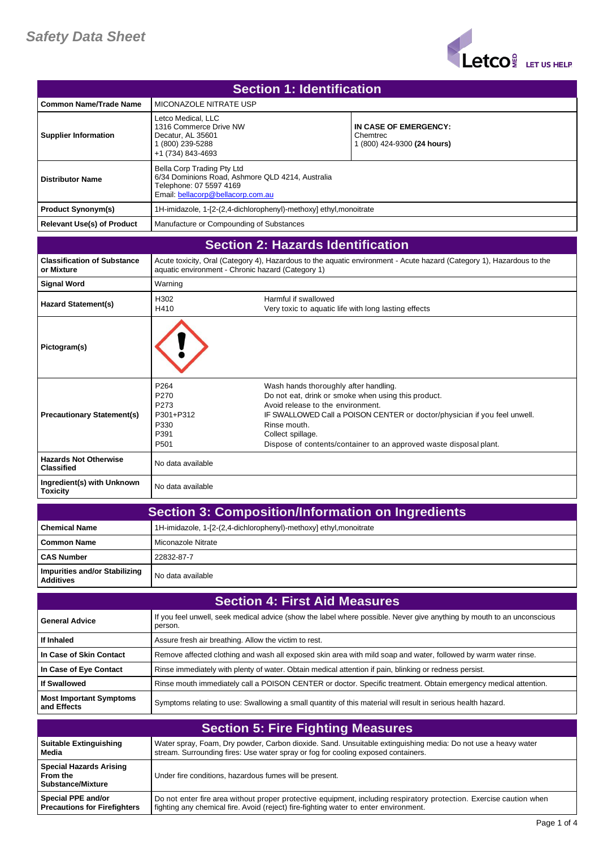

| Section 1: Identification         |                                                                                                                                                |                                                                  |
|-----------------------------------|------------------------------------------------------------------------------------------------------------------------------------------------|------------------------------------------------------------------|
| Common Name/Trade Name            | MICONAZOLE NITRATE USP                                                                                                                         |                                                                  |
| <b>Supplier Information</b>       | Letco Medical, LLC<br>1316 Commerce Drive NW<br>Decatur, AL 35601<br>(800) 239-5288<br>+1 (734) 843-4693                                       | IN CASE OF EMERGENCY:<br>Chemtrec<br>1 (800) 424-9300 (24 hours) |
| <b>Distributor Name</b>           | Bella Corp Trading Pty Ltd<br>6/34 Dominions Road, Ashmore QLD 4214, Australia<br>Telephone: 07 5597 4169<br>Email: bellacorp@bellacorp.com.au |                                                                  |
| <b>Product Synonym(s)</b>         | 1H-imidazole, 1-[2-(2,4-dichlorophenyl)-methoxy] ethyl, monoitrate                                                                             |                                                                  |
| <b>Relevant Use(s) of Product</b> | Manufacture or Compounding of Substances                                                                                                       |                                                                  |

## **Section 2: Hazards Identification**

| <b>Classification of Substance</b><br>or Mixture  | aquatic environment - Chronic hazard (Category 1)                     | Acute toxicity, Oral (Category 4), Hazardous to the aquatic environment - Acute hazard (Category 1), Hazardous to the                                                                                                                                                                                                     |
|---------------------------------------------------|-----------------------------------------------------------------------|---------------------------------------------------------------------------------------------------------------------------------------------------------------------------------------------------------------------------------------------------------------------------------------------------------------------------|
| <b>Signal Word</b>                                | Warning                                                               |                                                                                                                                                                                                                                                                                                                           |
| <b>Hazard Statement(s)</b>                        | H302<br>H410                                                          | Harmful if swallowed<br>Very toxic to aquatic life with long lasting effects                                                                                                                                                                                                                                              |
| Pictogram(s)                                      |                                                                       |                                                                                                                                                                                                                                                                                                                           |
| <b>Precautionary Statement(s)</b>                 | P <sub>264</sub><br>P270<br>P273<br>P301+P312<br>P330<br>P391<br>P501 | Wash hands thoroughly after handling.<br>Do not eat, drink or smoke when using this product.<br>Avoid release to the environment.<br>IF SWALLOWED Call a POISON CENTER or doctor/physician if you feel unwell.<br>Rinse mouth.<br>Collect spillage.<br>Dispose of contents/container to an approved waste disposal plant. |
| <b>Hazards Not Otherwise</b><br><b>Classified</b> | No data available                                                     |                                                                                                                                                                                                                                                                                                                           |
| Ingredient(s) with Unknown<br><b>Toxicity</b>     | No data available                                                     |                                                                                                                                                                                                                                                                                                                           |

| <b>Section 3: Composition/Information on Ingredients</b> |                                                                    |
|----------------------------------------------------------|--------------------------------------------------------------------|
| <b>Chemical Name</b>                                     | 1H-imidazole, 1-[2-(2,4-dichlorophenyl)-methoxy] ethyl, monoitrate |
| Common Name                                              | Miconazole Nitrate                                                 |
| <b>CAS Number</b>                                        | 22832-87-7                                                         |
| Impurities and/or Stabilizing<br><b>Additives</b>        | No data available                                                  |

| <b>Section 4: First Aid Measures</b>          |                                                                                                                                   |  |
|-----------------------------------------------|-----------------------------------------------------------------------------------------------------------------------------------|--|
| <b>General Advice</b>                         | If you feel unwell, seek medical advice (show the label where possible. Never give anything by mouth to an unconscious<br>person. |  |
| If Inhaled                                    | Assure fresh air breathing. Allow the victim to rest.                                                                             |  |
| In Case of Skin Contact                       | Remove affected clothing and wash all exposed skin area with mild soap and water, followed by warm water rinse.                   |  |
| In Case of Eye Contact                        | Rinse immediately with plenty of water. Obtain medical attention if pain, blinking or redness persist.                            |  |
| If Swallowed                                  | Rinse mouth immediately call a POISON CENTER or doctor. Specific treatment. Obtain emergency medical attention.                   |  |
| <b>Most Important Symptoms</b><br>and Effects | Symptoms relating to use: Swallowing a small quantity of this material will result in serious health hazard.                      |  |

| <b>Section 5: Fire Fighting Measures</b>                          |                                                                                                                     |
|-------------------------------------------------------------------|---------------------------------------------------------------------------------------------------------------------|
| Suitable Extinguishing                                            | Water spray, Foam, Dry powder, Carbon dioxide. Sand. Unsuitable extinguishing media: Do not use a heavy water       |
| Media                                                             | stream. Surrounding fires: Use water spray or fog for cooling exposed containers.                                   |
| <b>Special Hazards Arising</b><br>From the<br>  Substance/Mixture | Under fire conditions, hazardous fumes will be present.                                                             |
| Special PPE and/or                                                | Do not enter fire area without proper protective equipment, including respiratory protection. Exercise caution when |
| <b>Precautions for Firefighters</b>                               | fighting any chemical fire. Avoid (reject) fire-fighting water to enter environment.                                |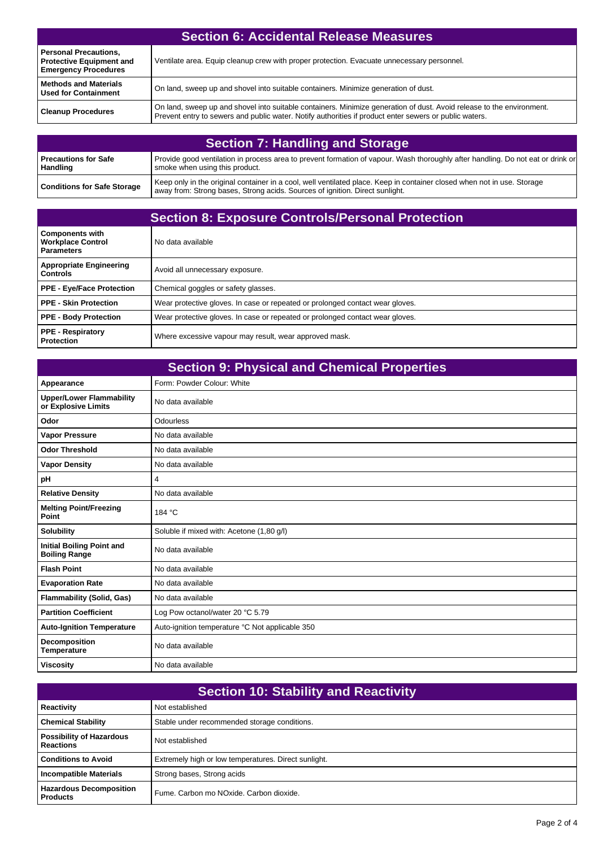| <b>Section 6: Accidental Release Measures</b>                                                  |                                                                                                                                                                                                                                 |
|------------------------------------------------------------------------------------------------|---------------------------------------------------------------------------------------------------------------------------------------------------------------------------------------------------------------------------------|
| <b>Personal Precautions,</b><br><b>Protective Equipment and</b><br><b>Emergency Procedures</b> | Ventilate area. Equip cleanup crew with proper protection. Evacuate unnecessary personnel.                                                                                                                                      |
| <b>Methods and Materials</b><br><b>Used for Containment</b>                                    | On land, sweep up and shovel into suitable containers. Minimize generation of dust.                                                                                                                                             |
| <b>Cleanup Procedures</b>                                                                      | On land, sweep up and shovel into suitable containers. Minimize generation of dust. Avoid release to the environment.<br>Prevent entry to sewers and public water. Notify authorities if product enter sewers or public waters. |

| <b>Section 7: Handling and Storage</b>  |                                                                                                                                                                                                         |
|-----------------------------------------|---------------------------------------------------------------------------------------------------------------------------------------------------------------------------------------------------------|
| Precautions for Safe<br><b>Handling</b> | Provide good ventilation in process area to prevent formation of vapour. Wash thoroughly after handling. Do not eat or drink or<br>smoke when using this product.                                       |
| <b>Conditions for Safe Storage</b>      | Keep only in the original container in a cool, well ventilated place. Keep in container closed when not in use. Storage<br>away from: Strong bases, Strong acids. Sources of ignition. Direct sunlight. |

| <b>Section 8: Exposure Controls/Personal Protection</b>                 |                                                                               |
|-------------------------------------------------------------------------|-------------------------------------------------------------------------------|
| <b>Components with</b><br><b>Workplace Control</b><br><b>Parameters</b> | No data available                                                             |
| <b>Appropriate Engineering</b><br><b>Controls</b>                       | Avoid all unnecessary exposure.                                               |
| <b>PPE - Eye/Face Protection</b>                                        | Chemical goggles or safety glasses.                                           |
| <b>PPE - Skin Protection</b>                                            | Wear protective gloves. In case or repeated or prolonged contact wear gloves. |
| <b>PPE - Body Protection</b>                                            | Wear protective gloves. In case or repeated or prolonged contact wear gloves. |
| <b>PPE - Respiratory</b><br><b>Protection</b>                           | Where excessive vapour may result, wear approved mask.                        |

| <b>Section 9: Physical and Chemical Properties</b>       |                                                 |
|----------------------------------------------------------|-------------------------------------------------|
| Appearance                                               | Form: Powder Colour: White                      |
| <b>Upper/Lower Flammability</b><br>or Explosive Limits   | No data available                               |
| Odor                                                     | Odourless                                       |
| <b>Vapor Pressure</b>                                    | No data available                               |
| <b>Odor Threshold</b>                                    | No data available                               |
| <b>Vapor Density</b>                                     | No data available                               |
| pH                                                       | $\overline{4}$                                  |
| <b>Relative Density</b>                                  | No data available                               |
| <b>Melting Point/Freezing</b><br>Point                   | 184 °C                                          |
| <b>Solubility</b>                                        | Soluble if mixed with: Acetone (1,80 q/l)       |
| <b>Initial Boiling Point and</b><br><b>Boiling Range</b> | No data available                               |
| <b>Flash Point</b>                                       | No data available                               |
| <b>Evaporation Rate</b>                                  | No data available                               |
| <b>Flammability (Solid, Gas)</b>                         | No data available                               |
| <b>Partition Coefficient</b>                             | Log Pow octanol/water 20 °C 5.79                |
| <b>Auto-Ignition Temperature</b>                         | Auto-ignition temperature °C Not applicable 350 |
| <b>Decomposition</b><br><b>Temperature</b>               | No data available                               |
| <b>Viscosity</b>                                         | No data available                               |

| <b>Section 10: Stability and Reactivity</b>         |                                                      |
|-----------------------------------------------------|------------------------------------------------------|
| Reactivity                                          | Not established                                      |
| <b>Chemical Stability</b>                           | Stable under recommended storage conditions.         |
| <b>Possibility of Hazardous</b><br><b>Reactions</b> | Not established                                      |
| <b>Conditions to Avoid</b>                          | Extremely high or low temperatures. Direct sunlight. |
| <b>Incompatible Materials</b>                       | Strong bases, Strong acids                           |
| <b>Hazardous Decomposition</b><br><b>Products</b>   | Fume. Carbon mo NOxide. Carbon dioxide.              |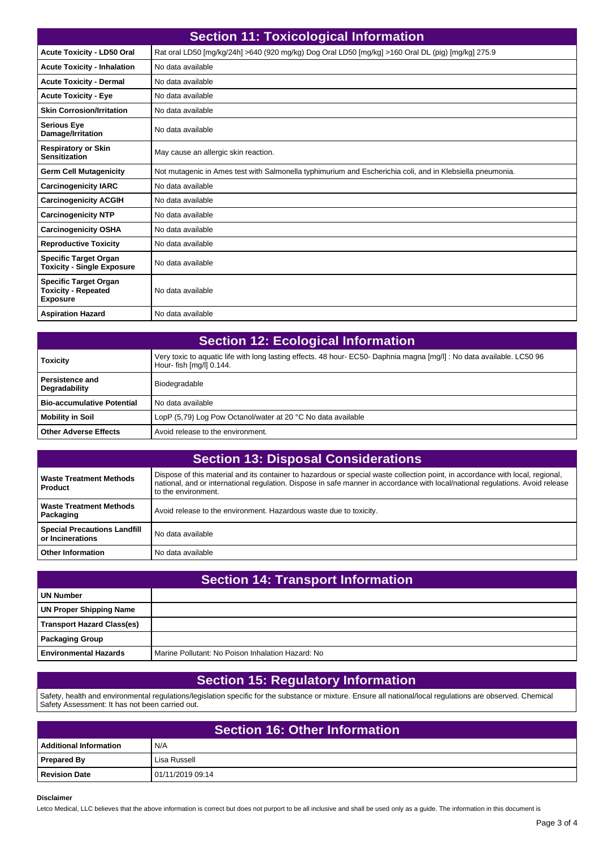| <b>Section 11: Toxicological Information</b>                                  |                                                                                                           |
|-------------------------------------------------------------------------------|-----------------------------------------------------------------------------------------------------------|
| <b>Acute Toxicity - LD50 Oral</b>                                             | Rat oral LD50 [mg/kg/24h] >640 (920 mg/kg) Dog Oral LD50 [mg/kg] >160 Oral DL (pig) [mg/kg] 275.9         |
| <b>Acute Toxicity - Inhalation</b>                                            | No data available                                                                                         |
| <b>Acute Toxicity - Dermal</b>                                                | No data available                                                                                         |
| <b>Acute Toxicity - Eye</b>                                                   | No data available                                                                                         |
| <b>Skin Corrosion/Irritation</b>                                              | No data available                                                                                         |
| <b>Serious Eye</b><br>Damage/Irritation                                       | No data available                                                                                         |
| <b>Respiratory or Skin</b><br><b>Sensitization</b>                            | May cause an allergic skin reaction.                                                                      |
| <b>Germ Cell Mutagenicity</b>                                                 | Not mutagenic in Ames test with Salmonella typhimurium and Escherichia coli, and in Klebsiella pneumonia. |
| <b>Carcinogenicity IARC</b>                                                   | No data available                                                                                         |
| <b>Carcinogenicity ACGIH</b>                                                  | No data available                                                                                         |
| <b>Carcinogenicity NTP</b>                                                    | No data available                                                                                         |
| <b>Carcinogenicity OSHA</b>                                                   | No data available                                                                                         |
| <b>Reproductive Toxicity</b>                                                  | No data available                                                                                         |
| <b>Specific Target Organ</b><br><b>Toxicity - Single Exposure</b>             | No data available                                                                                         |
| <b>Specific Target Organ</b><br><b>Toxicity - Repeated</b><br><b>Exposure</b> | No data available                                                                                         |
| <b>Aspiration Hazard</b>                                                      | No data available                                                                                         |

| <b>Section 12: Ecological Information</b> |                                                                                                                                                   |
|-------------------------------------------|---------------------------------------------------------------------------------------------------------------------------------------------------|
| <b>Toxicity</b>                           | Very toxic to aquatic life with long lasting effects. 48 hour- EC50- Daphnia magna [mq/l]: No data available. LC50 96<br>Hour- fish [mg/l] 0.144. |
| Persistence and<br>Degradability          | Biodegradable                                                                                                                                     |
| <b>Bio-accumulative Potential</b>         | No data available                                                                                                                                 |
| <b>Mobility in Soil</b>                   | LopP (5.79) Log Pow Octanol/water at 20 °C No data available                                                                                      |
| <b>Other Adverse Effects</b>              | Avoid release to the environment.                                                                                                                 |

| <b>Section 13: Disposal Considerations</b>              |                                                                                                                                                                                                                                                                                         |  |
|---------------------------------------------------------|-----------------------------------------------------------------------------------------------------------------------------------------------------------------------------------------------------------------------------------------------------------------------------------------|--|
| <b>Waste Treatment Methods</b><br>Product               | Dispose of this material and its container to hazardous or special waste collection point, in accordance with local, regional,<br>national, and or international regulation. Dispose in safe manner in accordance with local/national regulations. Avoid release<br>to the environment. |  |
| <b>Waste Treatment Methods</b><br>Packaging             | Avoid release to the environment. Hazardous waste due to toxicity.                                                                                                                                                                                                                      |  |
| <b>Special Precautions Landfill</b><br>or Incinerations | No data available                                                                                                                                                                                                                                                                       |  |
| <b>Other Information</b>                                | No data available                                                                                                                                                                                                                                                                       |  |

| <b>Section 14: Transport Information</b> |                                                   |  |
|------------------------------------------|---------------------------------------------------|--|
| UN Number                                |                                                   |  |
| <b>UN Proper Shipping Name</b>           |                                                   |  |
| Transport Hazard Class(es)               |                                                   |  |
| Packaging Group                          |                                                   |  |
| <b>Environmental Hazards</b>             | Marine Pollutant: No Poison Inhalation Hazard: No |  |

## **Section 15: Regulatory Information**

Safety, health and environmental regulations/legislation specific for the substance or mixture. Ensure all national/local regulations are observed. Chemical Safety Assessment: It has not been carried out.

| Section 16: Other Information |                  |  |
|-------------------------------|------------------|--|
| <b>Additional Information</b> | N/A              |  |
| <b>Prepared By</b>            | Lisa Russell     |  |
| <b>Revision Date</b>          | 01/11/2019 09:14 |  |

## **Disclaimer**

Letco Medical, LLC believes that the above information is correct but does not purport to be all inclusive and shall be used only as a guide. The information in this document is